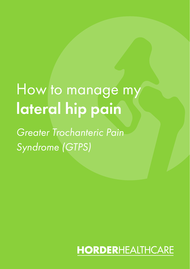# How to manage my lateral hip pain

*Greater Trochanteric Pain Syndrome (GTPS)*

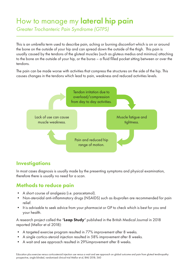# How to manage my lateral hip pain

*Greater Trochanteric Pain Syndrome (GTPS)*

This is an umbrella term used to describe pain, aching or burning discomfort which is on or around the bone on the outside of your hip and can spread down the outside of the thigh. This pain is usually caused by the tendons of the gluteal muscles (such as gluteus medius and minimus) attaching to the bone on the outside of your hip, or the bursa – a fluid filled pocket sitting between or over the tendons.

The pain can be made worse with activities that compress the structures on the side of the hip. This causes changes in the tendons which lead to pain, weakness and reduced activities levels.



#### **Investigations**

In most cases diagnosis is usually made by the presenting symptoms and physical examination, therefore there is usually no need for a scan.

#### Methods to reduce pain

- A short course of analgesia (i.e. paracetamol).
- Non-steroidal anti-inflammatory drugs (NSAIDS) such as ibuprofen are recommended for pain relief.
- It is advisable to seek advice from your pharmacist or GP to check which is best for you and your health.

A research project called the 'Leap Study' published in the British Medical Journal in 2018 reported (Mellor et al 2018):

- A targeted exercise program resulted in 77% improvement after 8 weeks.
- A single cortico-steroid injection resulted in 58% improvement after 8 weeks.
- A wait and see approach resulted in 29%improvement after 8 weeks.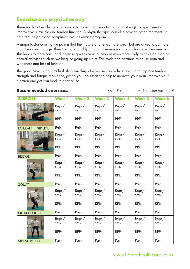### Exercise and physiotherapy

There is a lot of evidence to support a targeted muscle activation and strength programme to improve your muscle and tendon function. A physiotherapist can also provide other treatments to help reduce pain and compliment your exercise program.

A major factor causing the pain is that the muscle and tendon are weak but are asked to do more than they can manage. They tire more quickly, and can't manage as heavy loads as they used to. This leads to more pain, and increasing weakness so they are even more likely to have pain doing normal activities such as walking, or going up stairs. This cycle can continue to cause pain and weakness and loss of function.

The good news is that gradual, slow build-up of exercise can reduce pain, and improve tendon strength and fatigue resistance, giving you tools that can help to improve your pain, improve your function and get you back to normal life.

#### Recommended exercises:

*RPE = Rate of perceived exertion (out of 10)*

| <b>EXERCISE</b>     | <b>Week1</b>   | <b>Week 2</b>  | Week 3         | Week 4         | Week 5         | Week 6         |
|---------------------|----------------|----------------|----------------|----------------|----------------|----------------|
|                     | Reps/<br>sets: | Reps/<br>sets: | Reps/<br>sets: | Reps/<br>sets: | Reps/<br>sets: | Reps/<br>sets: |
|                     | RPE:           | RPE:           | RPE:           | RPE:           | RPE:           | RPE:           |
| LATERAL HIP SIDELYE | Pain:          | Pain:          | Pain:          | Pain:          | Pain:          | Pain:          |
|                     | Reps/<br>sets: | Reps/<br>sets: | Reps/<br>sets: | Reps/<br>sets: | Reps/<br>sets: | Reps/<br>sets: |
|                     | RPE:           | RPE:           | RPE:           | RPE:           | RPE:           | RPE:           |
| <b>BRIDGE</b>       | Pain:          | Pain:          | Pain:          | Pain:          | Pain:          | Pain:          |
|                     | Reps/<br>sets: | Reps/<br>sets: | Reps/<br>sets: | Reps/<br>sets: | Reps/<br>sets: | Reps/<br>sets: |
|                     | RPE:           | RPE:           | RPE:           | RPE:           | RPE:           | RPE:           |
| <b>SQUAT</b>        | Pain:          | Pain:          | Pain:          | Pain:          | Pain:          | Pain:          |
|                     | Reps/<br>sets: | Reps/<br>sets: | Reps/<br>sets: | Reps/<br>sets: | Reps/<br>sets: | Reps/<br>sets: |
|                     | RPE:           | RPE:           | RPE:           | RPE:           | RPE:           | RPE:           |
| <b>OFFSET SQUAT</b> | Pain:          | Pain:          | Pain:          | Pain:          | Pain:          | Pain:          |
|                     | Reps/<br>sets: | Reps/<br>sets: | Reps/<br>sets: | Reps/<br>sets: | Reps/<br>sets: | Reps/<br>sets: |
|                     | RPE:           | RPE:           | RPE:           | RPE:           | RPE:           | RPE:           |
| SIDESTEPPING        | Pain:          | Pain:          | Pain:          | Pain:          | Pain:          | Pain:          |